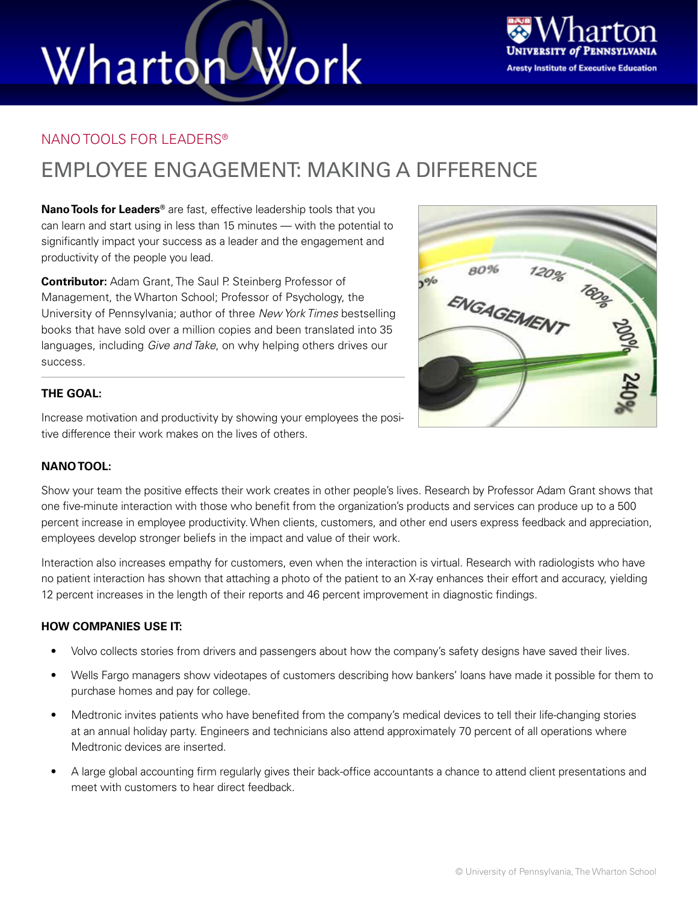# Wharton Work



#### NANO TOOLS FOR LEADERS®

### EMPLOYEE ENGAGEMENT: MAKING A DIFFERENCE

**Nano Tools for Leaders®** are fast, effective leadership tools that you can learn and start using in less than 15 minutes — with the potential to significantly impact your success as a leader and the engagement and productivity of the people you lead.

**Contributor:** Adam Grant, The Saul P. Steinberg Professor of Management, the Wharton School; Professor of Psychology, the University of Pennsylvania; author of three *New York Times* bestselling books that have sold over a million copies and been translated into 35 languages, including *Give and Take*, on why helping others drives our success.



Increase motivation and productivity by showing your employees the positive difference their work makes on the lives of others.

#### **NANO TOOL:**

Show your team the positive effects their work creates in other people's lives. Research by Professor Adam Grant shows that one five-minute interaction with those who benefit from the organization's products and services can produce up to a 500 percent increase in employee productivity. When clients, customers, and other end users express feedback and appreciation, employees develop stronger beliefs in the impact and value of their work.

Interaction also increases empathy for customers, even when the interaction is virtual. Research with radiologists who have no patient interaction has shown that attaching a photo of the patient to an X-ray enhances their effort and accuracy, yielding 12 percent increases in the length of their reports and 46 percent improvement in diagnostic findings.

#### **HOW COMPANIES USE IT:**

- Volvo collects stories from drivers and passengers about how the company's safety designs have saved their lives.
- Wells Fargo managers show videotapes of customers describing how bankers' loans have made it possible for them to purchase homes and pay for college.
- Medtronic invites patients who have benefited from the company's medical devices to tell their life-changing stories at an annual holiday party. Engineers and technicians also attend approximately 70 percent of all operations where Medtronic devices are inserted.
- A large global accounting firm regularly gives their back-office accountants a chance to attend client presentations and meet with customers to hear direct feedback